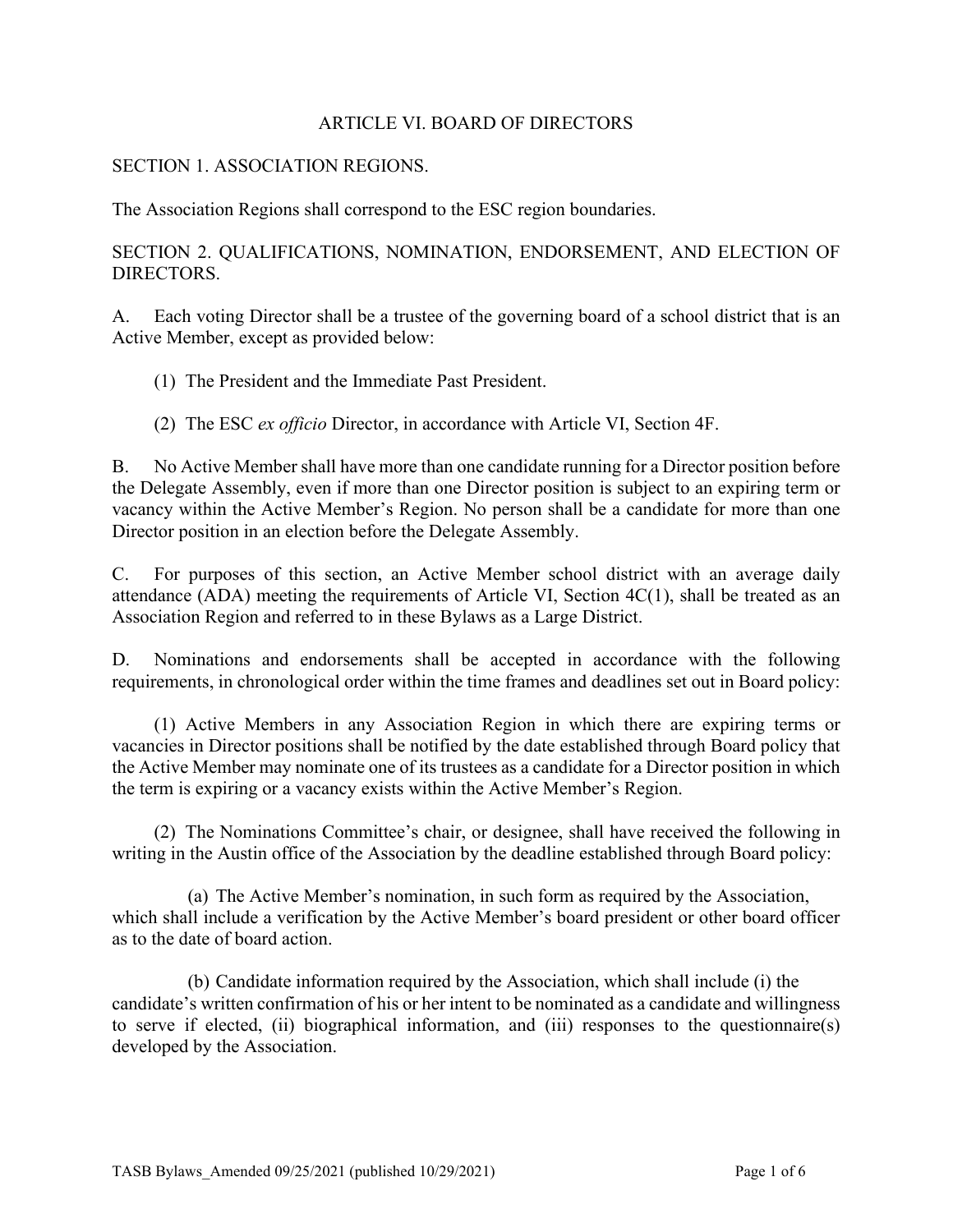#### ARTICLE VI. BOARD OF DIRECTORS

#### SECTION 1. ASSOCIATION REGIONS.

The Association Regions shall correspond to the ESC region boundaries.

SECTION 2. QUALIFICATIONS, NOMINATION, ENDORSEMENT, AND ELECTION OF DIRECTORS.

A. Each voting Director shall be a trustee of the governing board of a school district that is an Active Member, except as provided below:

(1) The President and the Immediate Past President.

(2) The ESC *ex officio* Director, in accordance with Article VI, Section 4F.

B. No Active Member shall have more than one candidate running for a Director position before the Delegate Assembly, even if more than one Director position is subject to an expiring term or vacancy within the Active Member's Region. No person shall be a candidate for more than one Director position in an election before the Delegate Assembly.

C. For purposes of this section, an Active Member school district with an average daily attendance (ADA) meeting the requirements of Article VI, Section  $4C(1)$ , shall be treated as an Association Region and referred to in these Bylaws as a Large District.

D. Nominations and endorsements shall be accepted in accordance with the following requirements, in chronological order within the time frames and deadlines set out in Board policy:

(1) Active Members in any Association Region in which there are expiring terms or vacancies in Director positions shall be notified by the date established through Board policy that the Active Member may nominate one of its trustees as a candidate for a Director position in which the term is expiring or a vacancy exists within the Active Member's Region.

(2) The Nominations Committee's chair, or designee, shall have received the following in writing in the Austin office of the Association by the deadline established through Board policy:

(a) The Active Member's nomination, in such form as required by the Association, which shall include a verification by the Active Member's board president or other board officer as to the date of board action.

(b) Candidate information required by the Association, which shall include (i) the candidate's written confirmation of his or her intent to be nominated as a candidate and willingness to serve if elected, (ii) biographical information, and (iii) responses to the questionnaire(s) developed by the Association.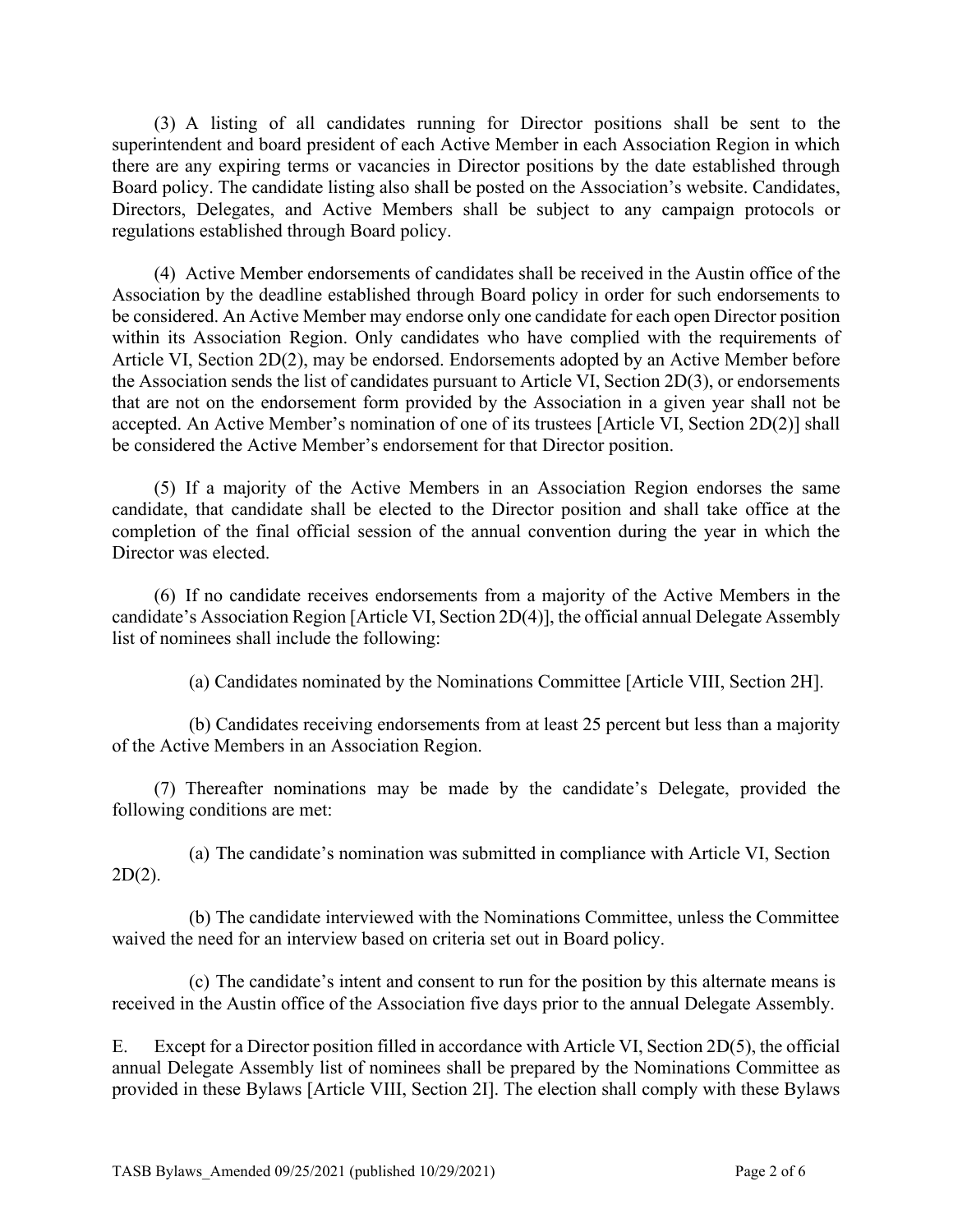(3) A listing of all candidates running for Director positions shall be sent to the superintendent and board president of each Active Member in each Association Region in which there are any expiring terms or vacancies in Director positions by the date established through Board policy. The candidate listing also shall be posted on the Association's website. Candidates, Directors, Delegates, and Active Members shall be subject to any campaign protocols or regulations established through Board policy.

(4) Active Member endorsements of candidates shall be received in the Austin office of the Association by the deadline established through Board policy in order for such endorsements to be considered. An Active Member may endorse only one candidate for each open Director position within its Association Region. Only candidates who have complied with the requirements of Article VI, Section 2D(2), may be endorsed. Endorsements adopted by an Active Member before the Association sends the list of candidates pursuant to Article VI, Section 2D(3), or endorsements that are not on the endorsement form provided by the Association in a given year shall not be accepted. An Active Member's nomination of one of its trustees [Article VI, Section 2D(2)] shall be considered the Active Member's endorsement for that Director position.

(5) If a majority of the Active Members in an Association Region endorses the same candidate, that candidate shall be elected to the Director position and shall take office at the completion of the final official session of the annual convention during the year in which the Director was elected.

(6) If no candidate receives endorsements from a majority of the Active Members in the candidate's Association Region [Article VI, Section 2D(4)], the official annual Delegate Assembly list of nominees shall include the following:

(a) Candidates nominated by the Nominations Committee [Article VIII, Section 2H].

(b) Candidates receiving endorsements from at least 25 percent but less than a majority of the Active Members in an Association Region.

(7) Thereafter nominations may be made by the candidate's Delegate, provided the following conditions are met:

(a) The candidate's nomination was submitted in compliance with Article VI, Section  $2D(2)$ .

(b) The candidate interviewed with the Nominations Committee, unless the Committee waived the need for an interview based on criteria set out in Board policy.

(c) The candidate's intent and consent to run for the position by this alternate means is received in the Austin office of the Association five days prior to the annual Delegate Assembly.

E. Except for a Director position filled in accordance with Article VI, Section 2D(5), the official annual Delegate Assembly list of nominees shall be prepared by the Nominations Committee as provided in these Bylaws [Article VIII, Section 2I]. The election shall comply with these Bylaws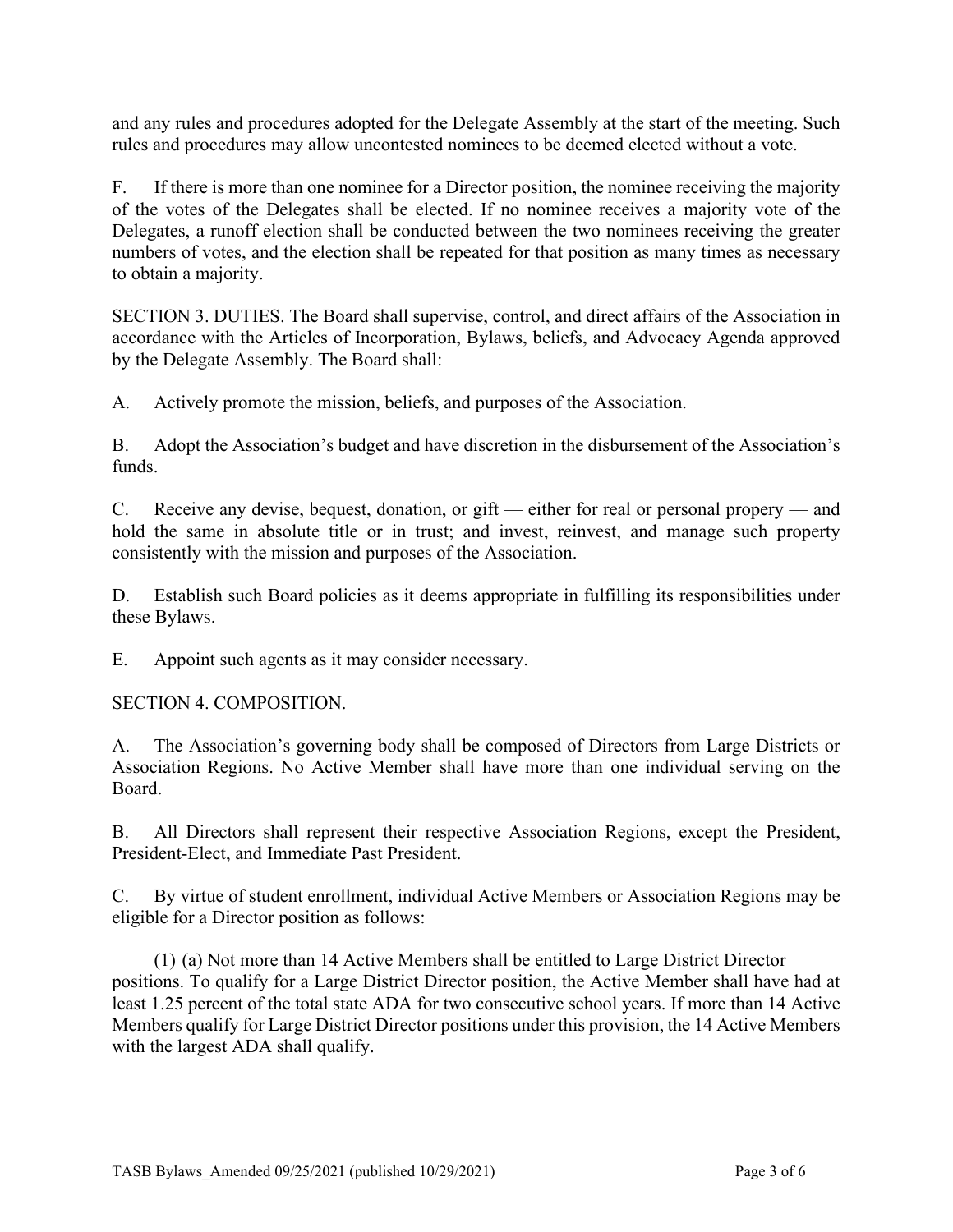and any rules and procedures adopted for the Delegate Assembly at the start of the meeting. Such rules and procedures may allow uncontested nominees to be deemed elected without a vote.

F. If there is more than one nominee for a Director position, the nominee receiving the majority of the votes of the Delegates shall be elected. If no nominee receives a majority vote of the Delegates, a runoff election shall be conducted between the two nominees receiving the greater numbers of votes, and the election shall be repeated for that position as many times as necessary to obtain a majority.

SECTION 3. DUTIES. The Board shall supervise, control, and direct affairs of the Association in accordance with the Articles of Incorporation, Bylaws, beliefs, and Advocacy Agenda approved by the Delegate Assembly. The Board shall:

A. Actively promote the mission, beliefs, and purposes of the Association.

B. Adopt the Association's budget and have discretion in the disbursement of the Association's funds.

C. Receive any devise, bequest, donation, or gift — either for real or personal propery — and hold the same in absolute title or in trust; and invest, reinvest, and manage such property consistently with the mission and purposes of the Association.

D. Establish such Board policies as it deems appropriate in fulfilling its responsibilities under these Bylaws.

E. Appoint such agents as it may consider necessary.

SECTION 4. COMPOSITION.

A. The Association's governing body shall be composed of Directors from Large Districts or Association Regions. No Active Member shall have more than one individual serving on the Board.

B. All Directors shall represent their respective Association Regions, except the President, President-Elect, and Immediate Past President.

C. By virtue of student enrollment, individual Active Members or Association Regions may be eligible for a Director position as follows:

(1) (a) Not more than 14 Active Members shall be entitled to Large District Director positions. To qualify for a Large District Director position, the Active Member shall have had at least 1.25 percent of the total state ADA for two consecutive school years. If more than 14 Active Members qualify for Large District Director positions under this provision, the 14 Active Members with the largest ADA shall qualify.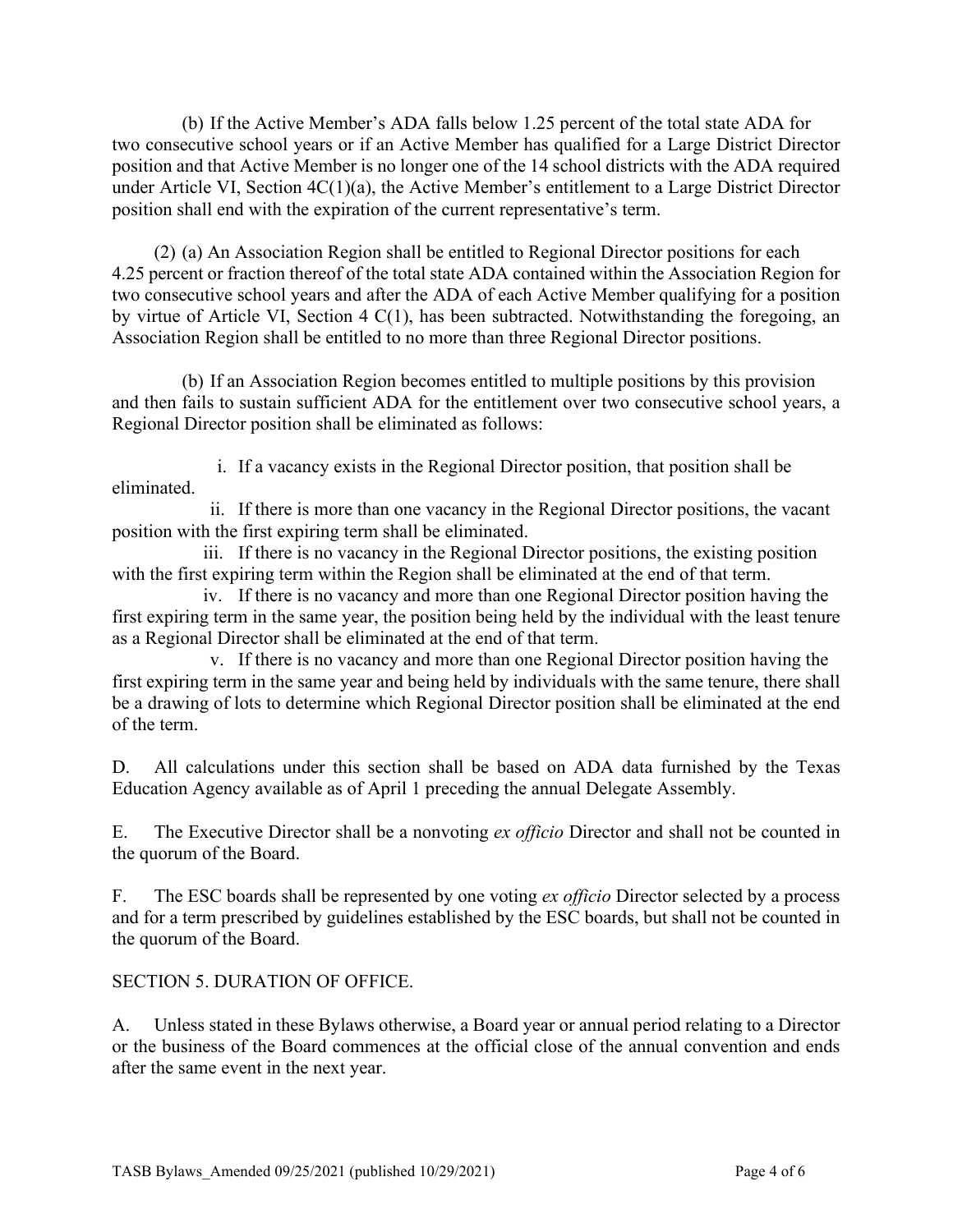(b) If the Active Member's ADA falls below 1.25 percent of the total state ADA for two consecutive school years or if an Active Member has qualified for a Large District Director position and that Active Member is no longer one of the 14 school districts with the ADA required under Article VI, Section 4C(1)(a), the Active Member's entitlement to a Large District Director position shall end with the expiration of the current representative's term.

(2) (a) An Association Region shall be entitled to Regional Director positions for each 4.25 percent or fraction thereof of the total state ADA contained within the Association Region for two consecutive school years and after the ADA of each Active Member qualifying for a position by virtue of Article VI, Section 4 C(1), has been subtracted. Notwithstanding the foregoing, an Association Region shall be entitled to no more than three Regional Director positions.

(b) If an Association Region becomes entitled to multiple positions by this provision and then fails to sustain sufficient ADA for the entitlement over two consecutive school years, a Regional Director position shall be eliminated as follows:

i. If a vacancy exists in the Regional Director position, that position shall be eliminated.

ii. If there is more than one vacancy in the Regional Director positions, the vacant position with the first expiring term shall be eliminated.

iii. If there is no vacancy in the Regional Director positions, the existing position with the first expiring term within the Region shall be eliminated at the end of that term.

iv. If there is no vacancy and more than one Regional Director position having the first expiring term in the same year, the position being held by the individual with the least tenure as a Regional Director shall be eliminated at the end of that term.

v. If there is no vacancy and more than one Regional Director position having the first expiring term in the same year and being held by individuals with the same tenure, there shall be a drawing of lots to determine which Regional Director position shall be eliminated at the end of the term.

D. All calculations under this section shall be based on ADA data furnished by the Texas Education Agency available as of April 1 preceding the annual Delegate Assembly.

E. The Executive Director shall be a nonvoting *ex officio* Director and shall not be counted in the quorum of the Board.

F. The ESC boards shall be represented by one voting *ex officio* Director selected by a process and for a term prescribed by guidelines established by the ESC boards, but shall not be counted in the quorum of the Board.

# SECTION 5. DURATION OF OFFICE.

A. Unless stated in these Bylaws otherwise, a Board year or annual period relating to a Director or the business of the Board commences at the official close of the annual convention and ends after the same event in the next year.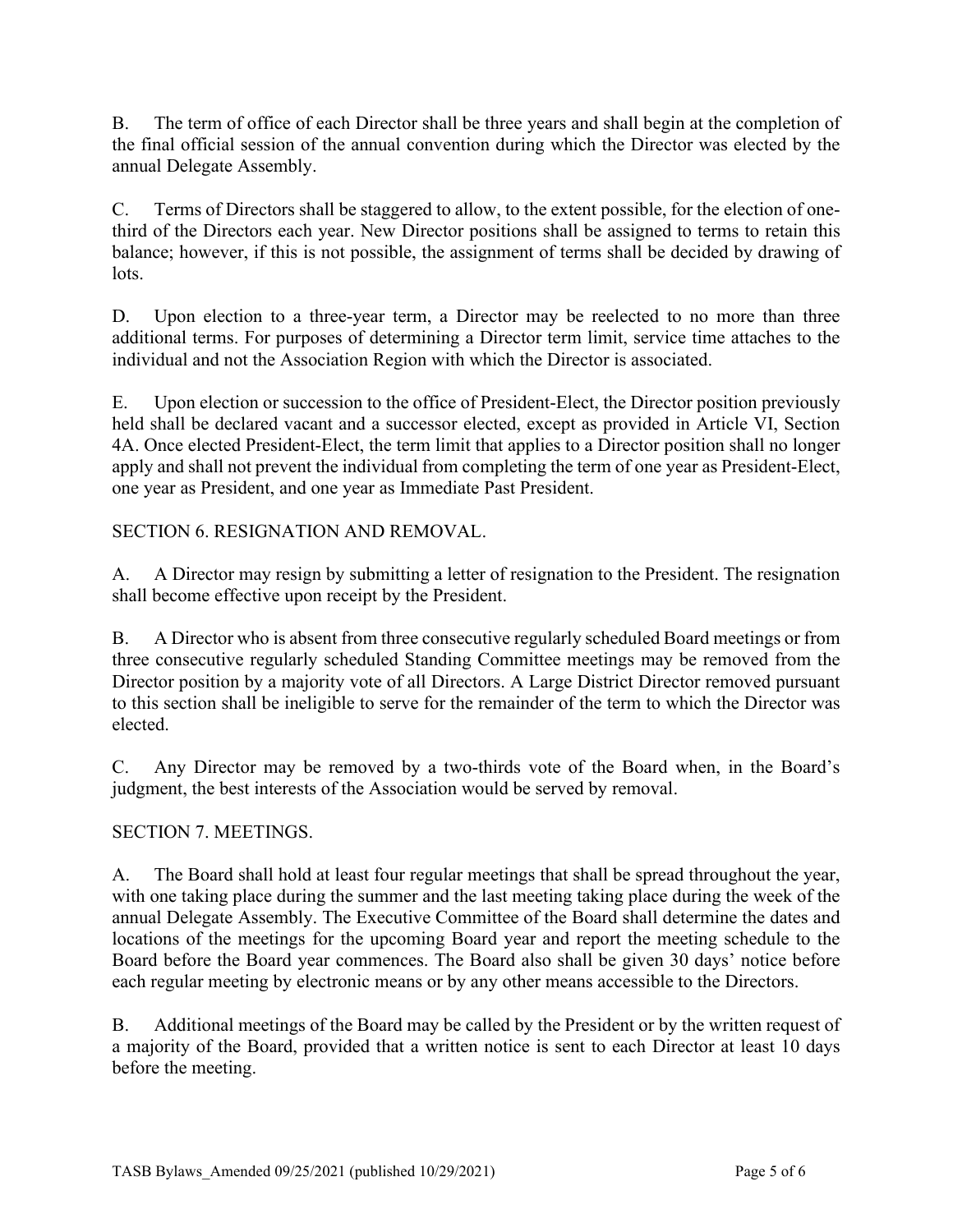B. The term of office of each Director shall be three years and shall begin at the completion of the final official session of the annual convention during which the Director was elected by the annual Delegate Assembly.

C. Terms of Directors shall be staggered to allow, to the extent possible, for the election of onethird of the Directors each year. New Director positions shall be assigned to terms to retain this balance; however, if this is not possible, the assignment of terms shall be decided by drawing of lots.

D. Upon election to a three-year term, a Director may be reelected to no more than three additional terms. For purposes of determining a Director term limit, service time attaches to the individual and not the Association Region with which the Director is associated.

E. Upon election or succession to the office of President-Elect, the Director position previously held shall be declared vacant and a successor elected, except as provided in Article VI, Section 4A. Once elected President-Elect, the term limit that applies to a Director position shall no longer apply and shall not prevent the individual from completing the term of one year as President-Elect, one year as President, and one year as Immediate Past President.

SECTION 6. RESIGNATION AND REMOVAL.

A. A Director may resign by submitting a letter of resignation to the President. The resignation shall become effective upon receipt by the President.

B. A Director who is absent from three consecutive regularly scheduled Board meetings or from three consecutive regularly scheduled Standing Committee meetings may be removed from the Director position by a majority vote of all Directors. A Large District Director removed pursuant to this section shall be ineligible to serve for the remainder of the term to which the Director was elected.

C. Any Director may be removed by a two-thirds vote of the Board when, in the Board's judgment, the best interests of the Association would be served by removal.

# SECTION 7. MEETINGS.

A. The Board shall hold at least four regular meetings that shall be spread throughout the year, with one taking place during the summer and the last meeting taking place during the week of the annual Delegate Assembly. The Executive Committee of the Board shall determine the dates and locations of the meetings for the upcoming Board year and report the meeting schedule to the Board before the Board year commences. The Board also shall be given 30 days' notice before each regular meeting by electronic means or by any other means accessible to the Directors.

B. Additional meetings of the Board may be called by the President or by the written request of a majority of the Board, provided that a written notice is sent to each Director at least 10 days before the meeting.